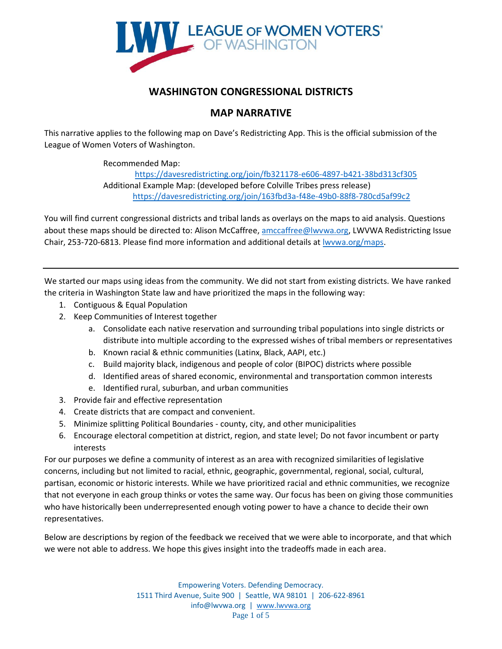

# **WASHINGTON CONGRESSIONAL DISTRICTS**

# **MAP NARRATIVE**

This narrative applies to the following map on Dave's Redistricting App. This is the official submission of the League of Women Voters of Washington.

Recommended Map:

<https://davesredistricting.org/join/fb321178-e606-4897-b421-38bd313cf305> Additional Example Map: (developed before Colville Tribes press release) <https://davesredistricting.org/join/163fbd3a-f48e-49b0-88f8-780cd5af99c2>

You will find current congressional districts and tribal lands as overlays on the maps to aid analysis. Questions about these maps should be directed to: Alison McCaffree, amccaffree@lwywa.org, LWVWA Redistricting Issue Chair, 253-720-6813. Please find more information and additional details a[t lwvwa.org/maps.](http://lwvwa.org/maps)

We started our maps using ideas from the community. We did not start from existing districts. We have ranked the criteria in Washington State law and have prioritized the maps in the following way:

- 1. Contiguous & Equal Population
- 2. Keep Communities of Interest together
	- a. Consolidate each native reservation and surrounding tribal populations into single districts or distribute into multiple according to the expressed wishes of tribal members or representatives
	- b. Known racial & ethnic communities (Latinx, Black, AAPI, etc.)
	- c. Build majority black, indigenous and people of color (BIPOC) districts where possible
	- d. Identified areas of shared economic, environmental and transportation common interests
	- e. Identified rural, suburban, and urban communities
- 3. Provide fair and effective representation
- 4. Create districts that are compact and convenient.
- 5. Minimize splitting Political Boundaries county, city, and other municipalities
- 6. Encourage electoral competition at district, region, and state level; Do not favor incumbent or party interests

For our purposes we define a community of interest as an area with recognized similarities of legislative concerns, including but not limited to racial, ethnic, geographic, governmental, regional, social, cultural, partisan, economic or historic interests. While we have prioritized racial and ethnic communities, we recognize that not everyone in each group thinks or votes the same way. Our focus has been on giving those communities who have historically been underrepresented enough voting power to have a chance to decide their own representatives.

Below are descriptions by region of the feedback we received that we were able to incorporate, and that which we were not able to address. We hope this gives insight into the tradeoffs made in each area.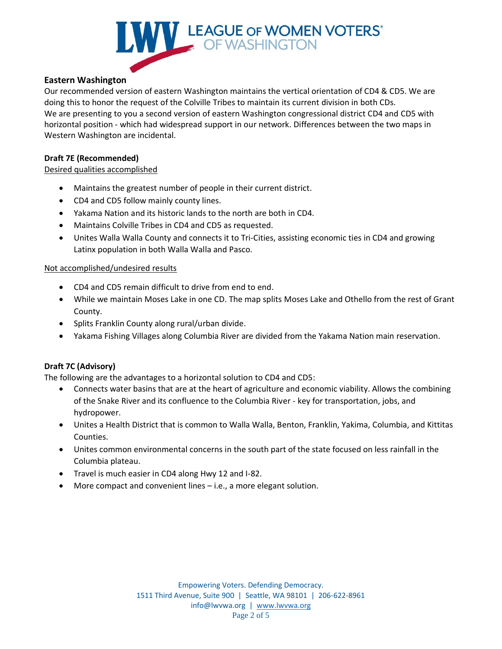

# **Eastern Washington**

Our recommended version of eastern Washington maintains the vertical orientation of CD4 & CD5. We are doing this to honor the request of the Colville Tribes to maintain its current division in both CDs. We are presenting to you a second version of eastern Washington congressional district CD4 and CD5 with horizontal position - which had widespread support in our network. Differences between the two maps in Western Washington are incidental.

## **Draft 7E (Recommended)**

Desired qualities accomplished

- Maintains the greatest number of people in their current district.
- CD4 and CD5 follow mainly county lines.
- Yakama Nation and its historic lands to the north are both in CD4.
- Maintains Colville Tribes in CD4 and CD5 as requested.
- Unites Walla Walla County and connects it to Tri-Cities, assisting economic ties in CD4 and growing Latinx population in both Walla Walla and Pasco.

#### Not accomplished/undesired results

- CD4 and CD5 remain difficult to drive from end to end.
- While we maintain Moses Lake in one CD. The map splits Moses Lake and Othello from the rest of Grant County.
- Splits Franklin County along rural/urban divide.
- Yakama Fishing Villages along Columbia River are divided from the Yakama Nation main reservation.

#### **Draft 7C (Advisory)**

The following are the advantages to a horizontal solution to CD4 and CD5:

- Connects water basins that are at the heart of agriculture and economic viability. Allows the combining of the Snake River and its confluence to the Columbia River - key for transportation, jobs, and hydropower.
- Unites a Health District that is common to Walla Walla, Benton, Franklin, Yakima, Columbia, and Kittitas Counties.
- Unites common environmental concerns in the south part of the state focused on less rainfall in the Columbia plateau.
- Travel is much easier in CD4 along Hwy 12 and I-82.
- More compact and convenient lines i.e., a more elegant solution.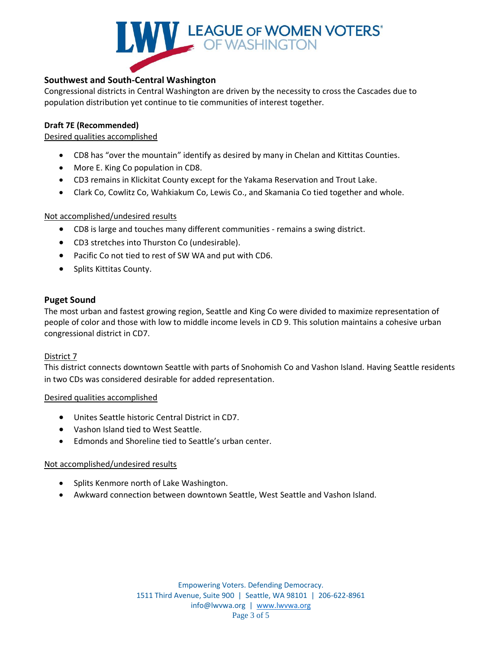

# **Southwest and South-Central Washington**

Congressional districts in Central Washington are driven by the necessity to cross the Cascades due to population distribution yet continue to tie communities of interest together.

# **Draft 7E (Recommended)**

## Desired qualities accomplished

- CD8 has "over the mountain" identify as desired by many in Chelan and Kittitas Counties.
- More E. King Co population in CD8.
- CD3 remains in Klickitat County except for the Yakama Reservation and Trout Lake.
- Clark Co, Cowlitz Co, Wahkiakum Co, Lewis Co., and Skamania Co tied together and whole.

#### Not accomplished/undesired results

- CD8 is large and touches many different communities remains a swing district.
- CD3 stretches into Thurston Co (undesirable).
- Pacific Co not tied to rest of SW WA and put with CD6.
- Splits Kittitas County.

# **Puget Sound**

The most urban and fastest growing region, Seattle and King Co were divided to maximize representation of people of color and those with low to middle income levels in CD 9. This solution maintains a cohesive urban congressional district in CD7.

#### District 7

This district connects downtown Seattle with parts of Snohomish Co and Vashon Island. Having Seattle residents in two CDs was considered desirable for added representation.

#### Desired qualities accomplished

- Unites Seattle historic Central District in CD7.
- Vashon Island tied to West Seattle.
- Edmonds and Shoreline tied to Seattle's urban center.

### Not accomplished/undesired results

- Splits Kenmore north of Lake Washington.
- Awkward connection between downtown Seattle, West Seattle and Vashon Island.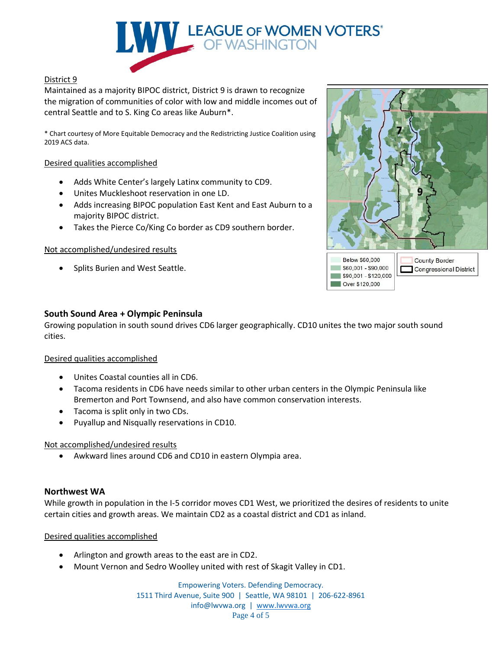

# District 9

Maintained as a majority BIPOC district, District 9 is drawn to recognize the migration of communities of color with low and middle incomes out of central Seattle and to S. King Co areas like Auburn\*.

\* Chart courtesy of More Equitable Democracy and the Redistricting Justice Coalition using 2019 ACS data.

## Desired qualities accomplished

- Adds White Center's largely Latinx community to CD9.
- Unites Muckleshoot reservation in one LD.
- Adds increasing BIPOC population East Kent and East Auburn to a majority BIPOC district.
- Takes the Pierce Co/King Co border as CD9 southern border.

#### Not accomplished/undesired results

• Splits Burien and West Seattle.



Over \$120,000

# **South Sound Area + Olympic Peninsula**

Growing population in south sound drives CD6 larger geographically. CD10 unites the two major south sound cities.

#### Desired qualities accomplished

- Unites Coastal counties all in CD6.
- Tacoma residents in CD6 have needs similar to other urban centers in the Olympic Peninsula like Bremerton and Port Townsend, and also have common conservation interests.
- Tacoma is split only in two CDs.
- Puyallup and Nisqually reservations in CD10.

#### Not accomplished/undesired results

• Awkward lines around CD6 and CD10 in eastern Olympia area.

# **Northwest WA**

While growth in population in the I-5 corridor moves CD1 West, we prioritized the desires of residents to unite certain cities and growth areas. We maintain CD2 as a coastal district and CD1 as inland.

Desired qualities accomplished

- Arlington and growth areas to the east are in CD2.
- Mount Vernon and Sedro Woolley united with rest of Skagit Valley in CD1.

Empowering Voters. Defending Democracy. 1511 Third Avenue, Suite 900 | Seattle, WA 98101 | 206-622-8961 info@lwvwa.org | [www.lwvwa.org](http://www.lwvwa.org/) Page 4 of 5